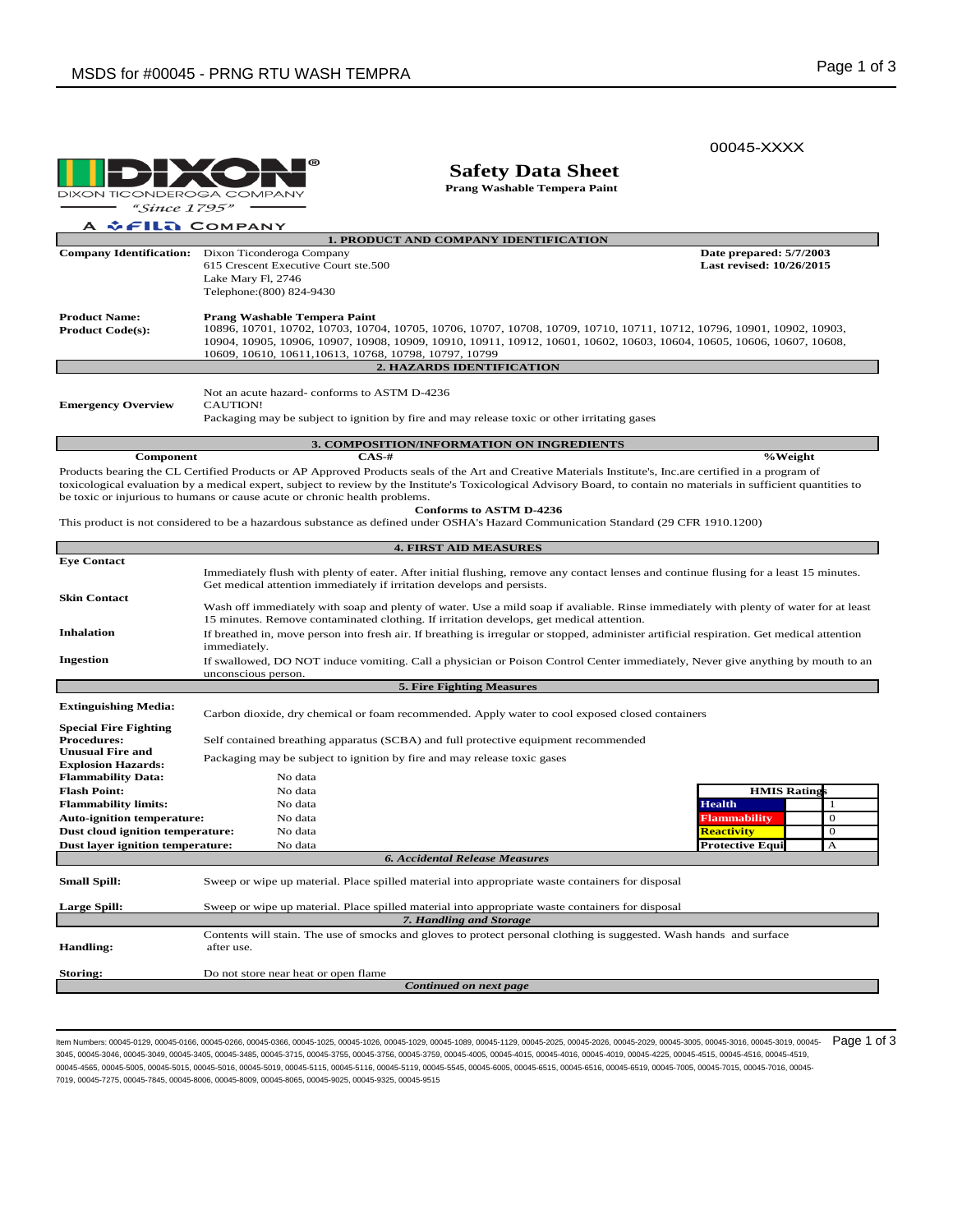## 00045-XXXX

 $^{\circ}$ **DIXON TICONDEROGA COMPANY** 

 **Safety Data Sheet**

**Prang Washable Tempera Paint**

"Since 1795"  $\overline{a}$ 

| A VEILA COMPANY                                             |                                                                                                                                                                                                                                                                                                                                                                                                                                                                                                                                                                                          |                                                     |  |  |  |
|-------------------------------------------------------------|------------------------------------------------------------------------------------------------------------------------------------------------------------------------------------------------------------------------------------------------------------------------------------------------------------------------------------------------------------------------------------------------------------------------------------------------------------------------------------------------------------------------------------------------------------------------------------------|-----------------------------------------------------|--|--|--|
| 1. PRODUCT AND COMPANY IDENTIFICATION                       |                                                                                                                                                                                                                                                                                                                                                                                                                                                                                                                                                                                          |                                                     |  |  |  |
|                                                             | Company Identification: Dixon Ticonderoga Company<br>615 Crescent Executive Court ste.500<br>Lake Mary Fl, 2746<br>Telephone: (800) 824-9430                                                                                                                                                                                                                                                                                                                                                                                                                                             | Date prepared: 5/7/2003<br>Last revised: 10/26/2015 |  |  |  |
| <b>Product Name:</b><br><b>Product Code(s):</b>             | <b>Prang Washable Tempera Paint</b><br>10896, 10701, 10702, 10703, 10704, 10705, 10706, 10707, 10708, 10709, 10710, 10711, 10712, 10796, 10901, 10902, 10903,<br>10904, 10905, 10906, 10907, 10908, 10909, 10910, 10911, 10912, 10601, 10602, 10603, 10604, 10605, 10606, 10607, 10608,<br>10609, 10610, 10611, 10613, 10768, 10798, 10797, 10799<br>2. HAZARDS IDENTIFICATION                                                                                                                                                                                                           |                                                     |  |  |  |
|                                                             |                                                                                                                                                                                                                                                                                                                                                                                                                                                                                                                                                                                          |                                                     |  |  |  |
| <b>Emergency Overview</b>                                   | Not an acute hazard-conforms to ASTM D-4236<br><b>CAUTION!</b><br>Packaging may be subject to ignition by fire and may release toxic or other irritating gases                                                                                                                                                                                                                                                                                                                                                                                                                           |                                                     |  |  |  |
|                                                             | 3. COMPOSITION/INFORMATION ON INGREDIENTS                                                                                                                                                                                                                                                                                                                                                                                                                                                                                                                                                |                                                     |  |  |  |
|                                                             | Products bearing the CL Certified Products or AP Approved Products seals of the Art and Creative Materials Institute's, Inc.are certified in a program of<br>toxicological evaluation by a medical expert, subject to review by the Institute's Toxicological Advisory Board, to contain no materials in sufficient quantities to<br>be toxic or injurious to humans or cause acute or chronic health problems.<br><b>Conforms to ASTM D-4236</b><br>This product is not considered to be a hazardous substance as defined under OSHA's Hazard Communication Standard (29 CFR 1910.1200) |                                                     |  |  |  |
| <b>4. FIRST AID MEASURES</b>                                |                                                                                                                                                                                                                                                                                                                                                                                                                                                                                                                                                                                          |                                                     |  |  |  |
| <b>Eve Contact</b>                                          | Immediately flush with plenty of eater. After initial flushing, remove any contact lenses and continue flusing for a least 15 minutes.<br>Get medical attention immediately if irritation develops and persists.                                                                                                                                                                                                                                                                                                                                                                         |                                                     |  |  |  |
| <b>Skin Contact</b>                                         | Wash off immediately with soap and plenty of water. Use a mild soap if avaliable. Rinse immediately with plenty of water for at least<br>15 minutes. Remove contaminated clothing. If irritation develops, get medical attention.                                                                                                                                                                                                                                                                                                                                                        |                                                     |  |  |  |
| <b>Inhalation</b>                                           | If breathed in, move person into fresh air. If breathing is irregular or stopped, administer artificial respiration. Get medical attention<br>immediately.                                                                                                                                                                                                                                                                                                                                                                                                                               |                                                     |  |  |  |
| Ingestion                                                   | If swallowed, DO NOT induce vomiting. Call a physician or Poison Control Center immediately, Never give anything by mouth to an<br>unconscious person.                                                                                                                                                                                                                                                                                                                                                                                                                                   |                                                     |  |  |  |
| <b>5. Fire Fighting Measures</b>                            |                                                                                                                                                                                                                                                                                                                                                                                                                                                                                                                                                                                          |                                                     |  |  |  |
| <b>Extinguishing Media:</b><br><b>Special Fire Fighting</b> | Carbon dioxide, dry chemical or foam recommended. Apply water to cool exposed closed containers                                                                                                                                                                                                                                                                                                                                                                                                                                                                                          |                                                     |  |  |  |
|                                                             |                                                                                                                                                                                                                                                                                                                                                                                                                                                                                                                                                                                          |                                                     |  |  |  |

| Special Fire Fighting                                                                                               |                                                                                                  |                        |          |  |  |  |  |
|---------------------------------------------------------------------------------------------------------------------|--------------------------------------------------------------------------------------------------|------------------------|----------|--|--|--|--|
| <b>Procedures:</b>                                                                                                  | Self contained breathing apparatus (SCBA) and full protective equipment recommended              |                        |          |  |  |  |  |
| <b>Unusual Fire and</b>                                                                                             | Packaging may be subject to ignition by fire and may release toxic gases                         |                        |          |  |  |  |  |
| <b>Explosion Hazards:</b>                                                                                           |                                                                                                  |                        |          |  |  |  |  |
| <b>Flammability Data:</b>                                                                                           | No data                                                                                          |                        |          |  |  |  |  |
| <b>Flash Point:</b>                                                                                                 | No data                                                                                          | <b>HMIS Ratings</b>    |          |  |  |  |  |
| <b>Flammability limits:</b>                                                                                         | No data                                                                                          | <b>Health</b>          |          |  |  |  |  |
| <b>Auto-ignition temperature:</b>                                                                                   | No data                                                                                          | <b>Flammability</b>    | 0        |  |  |  |  |
| Dust cloud ignition temperature:                                                                                    | No data                                                                                          | <b>Reactivity</b>      | $\theta$ |  |  |  |  |
| Dust layer ignition temperature:                                                                                    | No data                                                                                          | <b>Protective Equi</b> | A        |  |  |  |  |
| <b>6. Accidental Release Measures</b>                                                                               |                                                                                                  |                        |          |  |  |  |  |
| <b>Small Spill:</b>                                                                                                 | Sweep or wipe up material. Place spilled material into appropriate waste containers for disposal |                        |          |  |  |  |  |
| <b>Large Spill:</b>                                                                                                 | Sweep or wipe up material. Place spilled material into appropriate waste containers for disposal |                        |          |  |  |  |  |
| 7. Handling and Storage                                                                                             |                                                                                                  |                        |          |  |  |  |  |
| Contents will stain. The use of smocks and gloves to protect personal clothing is suggested. Wash hands and surface |                                                                                                  |                        |          |  |  |  |  |
| <b>Handling:</b>                                                                                                    | after use.                                                                                       |                        |          |  |  |  |  |

**Storing:** Do not store near heat or open flame

*Continued on next page*

ltem Numbers: 00045-0129, 00045-0166, 00045-0266, 00045-0366, 00045-1026, 00045-1028, 00045-1029, 00045-1029, 00045-2026, 00045-2026, 00045-2026, 00045-2029, 00045-3005, 00045-3016, 00045-3019, 00045-3019, 00045-3019, 0004 3045, 00045-3046, 00045-3049, 00045-3405, 00045-3485, 00045-3715, 00045-3755, 00045-3756, 00045-3759, 00045-4005, 00045-4015, 00045-4016, 00045-4019, 00045-4225, 00045-4515, 00045-4516, 00045-4519, 00045-4565, 00045-5005, 00045-5015, 00045-5016, 00045-5019, 00045-5115, 00045-5116, 00045-5119, 00045-5545, 00045-6005, 00045-6515, 00045-6516, 00045-6519, 00045-7005, 00045-7015, 00045-7016, 00045- 7019, 00045-7275, 00045-7845, 00045-8006, 00045-8009, 00045-8065, 00045-9025, 00045-9325, 00045-9515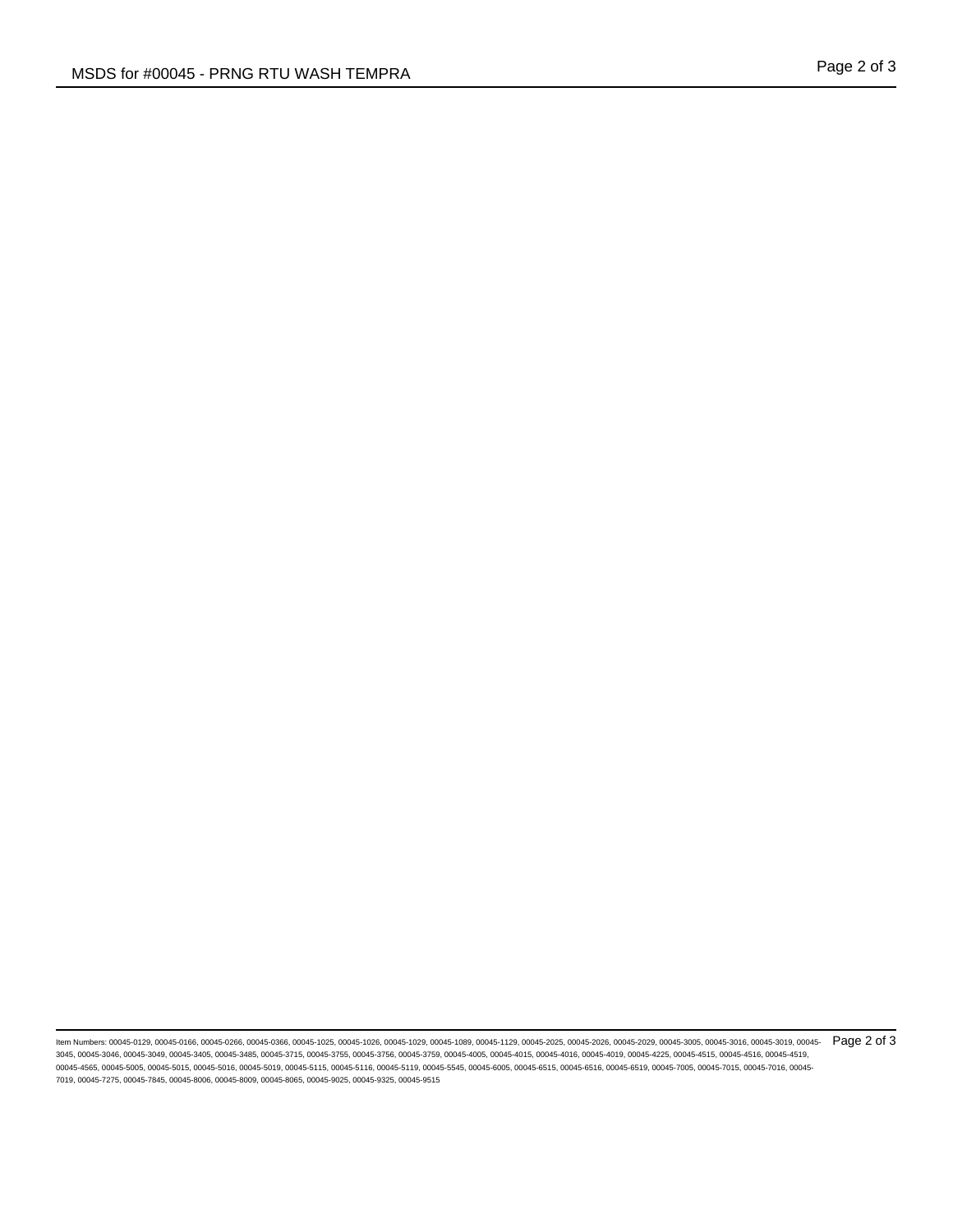ltem Numbers: 00045-0129, 00045-0166, 00045-0266, 00045-0366, 00045-1026, 00045-1028, 00045-1029, 00045-1029, 00045-2026, 00045-2026, 00045-2026, 00045-2029, 00045-3005, 00045-3016, 00045-3019, 00045-3019, 00045-3019, 0004 3045, 00045-3046, 00045-3049, 00045-3405, 00045-3485, 00045-3715, 00045-3755, 00045-3756, 00045-3759, 00045-4005, 00045-4015, 00045-4016, 00045-4019, 00045-4225, 00045-4515, 00045-4516, 00045-4519, 00045-4565, 00045-5005, 00045-5015, 00045-5016, 00045-5019, 00045-5115, 00045-5116, 00045-5119, 00045-5545, 00045-6005, 00045-6515, 00045-6516, 00045-6519, 00045-7005, 00045-7015, 00045-7016, 00045- 7019, 00045-7275, 00045-7845, 00045-8006, 00045-8009, 00045-8065, 00045-9025, 00045-9325, 00045-9515